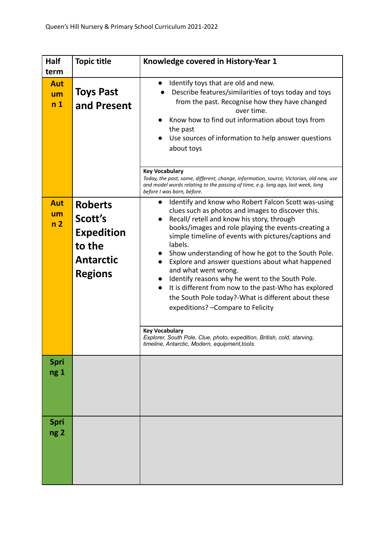| <b>Half</b><br>term                | <b>Topic title</b>                                                                             | Knowledge covered in History-Year 1                                                                                                                                                                                                                                                                                                                                                                                                                                                                                                                                                                                                                                                                                                                                                                                                                     |
|------------------------------------|------------------------------------------------------------------------------------------------|---------------------------------------------------------------------------------------------------------------------------------------------------------------------------------------------------------------------------------------------------------------------------------------------------------------------------------------------------------------------------------------------------------------------------------------------------------------------------------------------------------------------------------------------------------------------------------------------------------------------------------------------------------------------------------------------------------------------------------------------------------------------------------------------------------------------------------------------------------|
| <b>Aut</b><br>um<br>n <sub>1</sub> | <b>Toys Past</b><br>and Present                                                                | Identify toys that are old and new.<br>$\bullet$<br>Describe features/similarities of toys today and toys<br>from the past. Recognise how they have changed<br>over time.<br>Know how to find out information about toys from<br>$\bullet$<br>the past<br>Use sources of information to help answer questions<br>about toys<br><b>Key Vocabulary</b><br>Today, the past, same, different, change, information, source, Victorian, old new, use<br>and model words relating to the passing of time, e.g. long ago, last week, long                                                                                                                                                                                                                                                                                                                       |
| <b>Aut</b><br>um<br>n <sub>2</sub> | <b>Roberts</b><br>Scott's<br><b>Expedition</b><br>to the<br><b>Antarctic</b><br><b>Regions</b> | before I was born, before.<br>Identify and know who Robert Falcon Scott was-using<br>clues such as photos and images to discover this.<br>Recall/ retell and know his story, through<br>$\bullet$<br>books/images and role playing the events-creating a<br>simple timeline of events with pictures/captions and<br>labels.<br>Show understanding of how he got to the South Pole.<br>$\bullet$<br>Explore and answer questions about what happened<br>and what went wrong.<br>Identify reasons why he went to the South Pole.<br>It is different from now to the past-Who has explored<br>$\bullet$<br>the South Pole today?-What is different about these<br>expeditions? - Compare to Felicity<br><b>Key Vocabulary</b><br>Explorer, South Pole, Clue, photo, expedition, British, cold, starving,<br>timeline, Antarctic, Modern, equipment, tools. |
| <b>Spri</b><br>ng 1                |                                                                                                |                                                                                                                                                                                                                                                                                                                                                                                                                                                                                                                                                                                                                                                                                                                                                                                                                                                         |
| <b>Spri</b><br>ng <sub>2</sub>     |                                                                                                |                                                                                                                                                                                                                                                                                                                                                                                                                                                                                                                                                                                                                                                                                                                                                                                                                                                         |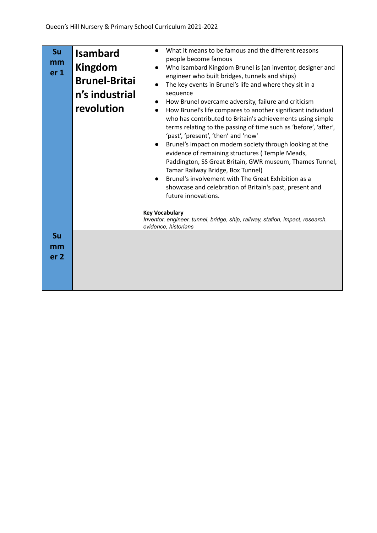| Su<br>mm<br>er <sub>1</sub> | <b>Isambard</b><br>Kingdom<br><b>Brunel-Britai</b><br>n's industrial<br>revolution | What it means to be famous and the different reasons<br>$\bullet$<br>people become famous<br>Who Isambard Kingdom Brunel is (an inventor, designer and<br>$\bullet$<br>engineer who built bridges, tunnels and ships)<br>The key events in Brunel's life and where they sit in a<br>sequence<br>How Brunel overcame adversity, failure and criticism<br>How Brunel's life compares to another significant individual<br>$\bullet$<br>who has contributed to Britain's achievements using simple<br>terms relating to the passing of time such as 'before', 'after',<br>'past', 'present', 'then' and 'now'<br>Brunel's impact on modern society through looking at the<br>evidence of remaining structures (Temple Meads,<br>Paddington, SS Great Britain, GWR museum, Thames Tunnel,<br>Tamar Railway Bridge, Box Tunnel)<br>Brunel's involvement with The Great Exhibition as a<br>$\bullet$<br>showcase and celebration of Britain's past, present and<br>future innovations.<br><b>Key Vocabulary</b><br>Inventor, engineer, tunnel, bridge, ship, railway, station, impact, research,<br>evidence, historians |
|-----------------------------|------------------------------------------------------------------------------------|--------------------------------------------------------------------------------------------------------------------------------------------------------------------------------------------------------------------------------------------------------------------------------------------------------------------------------------------------------------------------------------------------------------------------------------------------------------------------------------------------------------------------------------------------------------------------------------------------------------------------------------------------------------------------------------------------------------------------------------------------------------------------------------------------------------------------------------------------------------------------------------------------------------------------------------------------------------------------------------------------------------------------------------------------------------------------------------------------------------------|
| Su<br>mm<br>er <sub>2</sub> |                                                                                    |                                                                                                                                                                                                                                                                                                                                                                                                                                                                                                                                                                                                                                                                                                                                                                                                                                                                                                                                                                                                                                                                                                                    |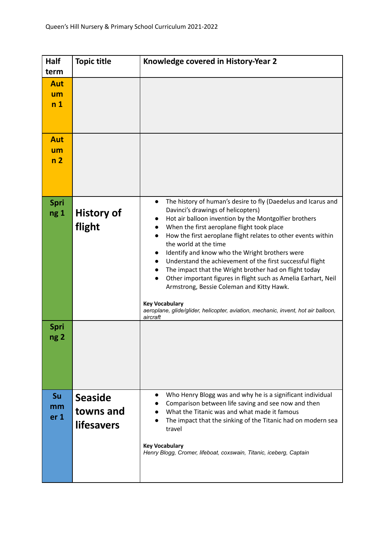| Half<br>term                       | <b>Topic title</b>                               | Knowledge covered in History-Year 2                                                                                                                                                                                                                                                                                                                                                                                                                                                                                                                                                                                                                                                                                                                                                                  |
|------------------------------------|--------------------------------------------------|------------------------------------------------------------------------------------------------------------------------------------------------------------------------------------------------------------------------------------------------------------------------------------------------------------------------------------------------------------------------------------------------------------------------------------------------------------------------------------------------------------------------------------------------------------------------------------------------------------------------------------------------------------------------------------------------------------------------------------------------------------------------------------------------------|
| <b>Aut</b><br>um<br>n <sub>1</sub> |                                                  |                                                                                                                                                                                                                                                                                                                                                                                                                                                                                                                                                                                                                                                                                                                                                                                                      |
| Aut<br>um<br>n <sub>2</sub>        |                                                  |                                                                                                                                                                                                                                                                                                                                                                                                                                                                                                                                                                                                                                                                                                                                                                                                      |
| Spri<br>ng 1                       | <b>History of</b><br>flight                      | The history of human's desire to fly (Daedelus and Icarus and<br>$\bullet$<br>Davinci's drawings of helicopters)<br>Hot air balloon invention by the Montgolfier brothers<br>$\bullet$<br>When the first aeroplane flight took place<br>$\bullet$<br>How the first aeroplane flight relates to other events within<br>$\bullet$<br>the world at the time<br>Identify and know who the Wright brothers were<br>$\bullet$<br>Understand the achievement of the first successful flight<br>$\bullet$<br>The impact that the Wright brother had on flight today<br>Other important figures in flight such as Amelia Earhart, Neil<br>Armstrong, Bessie Coleman and Kitty Hawk.<br><b>Key Vocabulary</b><br>aeroplane, glide/glider, helicopter, aviation, mechanic, invent, hot air balloon,<br>aircraft |
| Spri<br>ng 2                       |                                                  |                                                                                                                                                                                                                                                                                                                                                                                                                                                                                                                                                                                                                                                                                                                                                                                                      |
| Su<br>mm<br>er <sub>1</sub>        | <b>Seaside</b><br>towns and<br><b>lifesavers</b> | Who Henry Blogg was and why he is a significant individual<br>Comparison between life saving and see now and then<br>What the Titanic was and what made it famous<br>The impact that the sinking of the Titanic had on modern sea<br>travel<br><b>Key Vocabulary</b><br>Henry Blogg, Cromer, lifeboat, coxswain, Titanic, iceberg, Captain                                                                                                                                                                                                                                                                                                                                                                                                                                                           |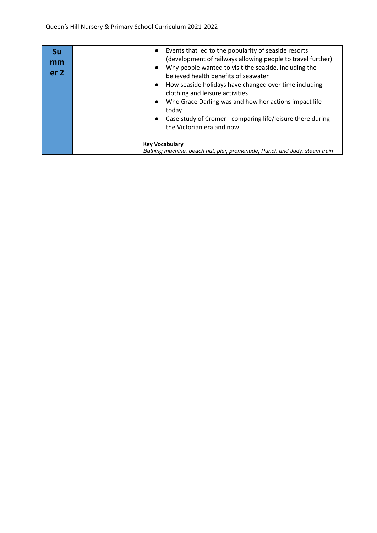| Su<br>mm<br>er <sub>2</sub> | Events that led to the popularity of seaside resorts<br>$\bullet$<br>(development of railways allowing people to travel further)<br>Why people wanted to visit the seaside, including the<br>$\bullet$<br>believed health benefits of seawater<br>How seaside holidays have changed over time including<br>$\bullet$<br>clothing and leisure activities<br>Who Grace Darling was and how her actions impact life<br>$\bullet$<br>today<br>Case study of Cromer - comparing life/leisure there during<br>$\bullet$<br>the Victorian era and now |  |
|-----------------------------|------------------------------------------------------------------------------------------------------------------------------------------------------------------------------------------------------------------------------------------------------------------------------------------------------------------------------------------------------------------------------------------------------------------------------------------------------------------------------------------------------------------------------------------------|--|
|                             | <b>Key Vocabulary</b><br>Bathing machine, beach hut, pier, promenade, Punch and Judy, steam train                                                                                                                                                                                                                                                                                                                                                                                                                                              |  |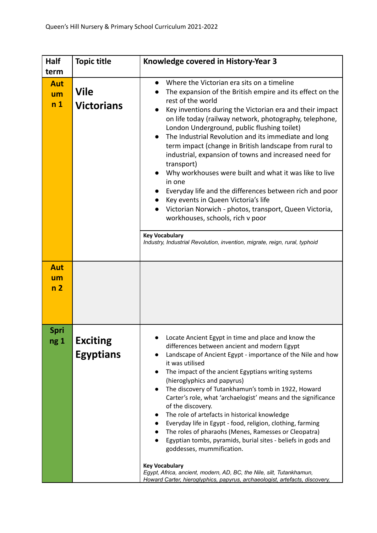| <b>Half</b>                                | <b>Topic title</b>               | Knowledge covered in History-Year 3                                                                                                                                                                                                                                                                                                                                                                                                                                                                                                                                                                                                                                                                                                                                                                                                                                                                           |
|--------------------------------------------|----------------------------------|---------------------------------------------------------------------------------------------------------------------------------------------------------------------------------------------------------------------------------------------------------------------------------------------------------------------------------------------------------------------------------------------------------------------------------------------------------------------------------------------------------------------------------------------------------------------------------------------------------------------------------------------------------------------------------------------------------------------------------------------------------------------------------------------------------------------------------------------------------------------------------------------------------------|
| term<br><b>Aut</b><br>um<br>n <sub>1</sub> | <b>Vile</b><br><b>Victorians</b> | Where the Victorian era sits on a timeline<br>$\bullet$<br>The expansion of the British empire and its effect on the<br>rest of the world<br>Key inventions during the Victorian era and their impact<br>$\bullet$<br>on life today (railway network, photography, telephone,<br>London Underground, public flushing toilet)<br>The Industrial Revolution and its immediate and long<br>$\bullet$<br>term impact (change in British landscape from rural to<br>industrial, expansion of towns and increased need for<br>transport)<br>Why workhouses were built and what it was like to live<br>in one<br>Everyday life and the differences between rich and poor<br>Key events in Queen Victoria's life<br>Victorian Norwich - photos, transport, Queen Victoria,<br>workhouses, schools, rich v poor<br><b>Key Vocabulary</b><br>Industry, Industrial Revolution, invention, migrate, reign, rural, typhoid |
|                                            |                                  |                                                                                                                                                                                                                                                                                                                                                                                                                                                                                                                                                                                                                                                                                                                                                                                                                                                                                                               |
| <b>Aut</b><br>um<br>n <sub>2</sub>         |                                  |                                                                                                                                                                                                                                                                                                                                                                                                                                                                                                                                                                                                                                                                                                                                                                                                                                                                                                               |
| Spri<br>ng 1                               | Exciting<br><b>Egyptians</b>     | Locate Ancient Egypt in time and place and know the<br>differences between ancient and modern Egypt<br>Landscape of Ancient Egypt - importance of the Nile and how<br>it was utilised<br>The impact of the ancient Egyptians writing systems<br>$\bullet$<br>(hieroglyphics and papyrus)<br>The discovery of Tutankhamun's tomb in 1922, Howard<br>Carter's role, what 'archaelogist' means and the significance<br>of the discovery.<br>The role of artefacts in historical knowledge<br>Everyday life in Egypt - food, religion, clothing, farming<br>The roles of pharaohs (Menes, Ramesses or Cleopatra)<br>Egyptian tombs, pyramids, burial sites - beliefs in gods and<br>$\bullet$<br>goddesses, mummification.<br><b>Key Vocabulary</b><br>Egypt, Africa, ancient, modern, AD, BC, the Nile, silt, Tutankhamun,<br>Howard Carter, hieroglyphics, papyrus, archaeologist, artefacts, discovery,        |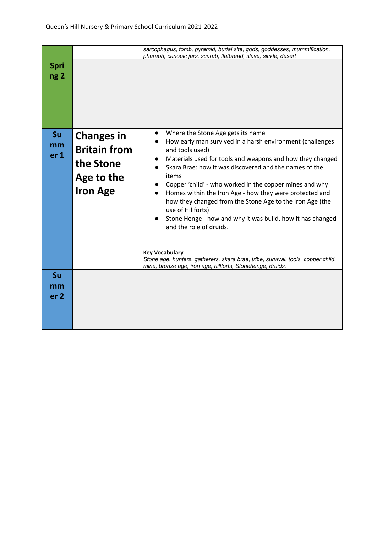|                                |                                                                                        | sarcophagus, tomb, pyramid, burial site, gods, goddesses, mummification,<br>pharaoh, canopic jars, scarab, flatbread, slave, sickle, desert                                                                                                                                                                                                                                                                                                                                                                                                                                                                                                                                                                                  |
|--------------------------------|----------------------------------------------------------------------------------------|------------------------------------------------------------------------------------------------------------------------------------------------------------------------------------------------------------------------------------------------------------------------------------------------------------------------------------------------------------------------------------------------------------------------------------------------------------------------------------------------------------------------------------------------------------------------------------------------------------------------------------------------------------------------------------------------------------------------------|
| <b>Spri</b><br>ng <sub>2</sub> |                                                                                        |                                                                                                                                                                                                                                                                                                                                                                                                                                                                                                                                                                                                                                                                                                                              |
| Su<br>mm<br>er <sub>1</sub>    | <b>Changes in</b><br><b>Britain from</b><br>the Stone<br>Age to the<br><b>Iron Age</b> | Where the Stone Age gets its name<br>How early man survived in a harsh environment (challenges<br>and tools used)<br>Materials used for tools and weapons and how they changed<br>Skara Brae: how it was discovered and the names of the<br>items<br>Copper 'child' - who worked in the copper mines and why<br>Homes within the Iron Age - how they were protected and<br>how they changed from the Stone Age to the Iron Age (the<br>use of Hillforts)<br>Stone Henge - how and why it was build, how it has changed<br>and the role of druids.<br><b>Key Vocabulary</b><br>Stone age, hunters, gatherers, skara brae, tribe, survival, tools, copper child,<br>mine, bronze age, iron age, hillforts, Stonehenge, druids. |
| Su<br>mm<br>er <sub>2</sub>    |                                                                                        |                                                                                                                                                                                                                                                                                                                                                                                                                                                                                                                                                                                                                                                                                                                              |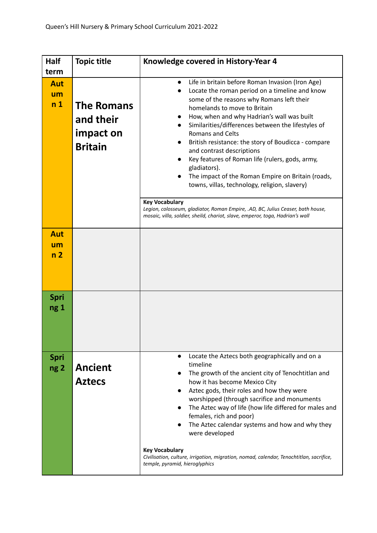| Half                                       | <b>Topic title</b>                                            | Knowledge covered in History-Year 4                                                                                                                                                                                                                                                                                                                                                                                                                                                                                                                                                                                                                                                                                                                                                                |
|--------------------------------------------|---------------------------------------------------------------|----------------------------------------------------------------------------------------------------------------------------------------------------------------------------------------------------------------------------------------------------------------------------------------------------------------------------------------------------------------------------------------------------------------------------------------------------------------------------------------------------------------------------------------------------------------------------------------------------------------------------------------------------------------------------------------------------------------------------------------------------------------------------------------------------|
| term<br><b>Aut</b><br>um<br>n <sub>1</sub> | <b>The Romans</b><br>and their<br>impact on<br><b>Britain</b> | Life in britain before Roman Invasion (Iron Age)<br>$\bullet$<br>Locate the roman period on a timeline and know<br>$\bullet$<br>some of the reasons why Romans left their<br>homelands to move to Britain<br>How, when and why Hadrian's wall was built<br>Similarities/differences between the lifestyles of<br><b>Romans and Celts</b><br>British resistance: the story of Boudicca - compare<br>and contrast descriptions<br>Key features of Roman life (rulers, gods, army,<br>gladiators).<br>The impact of the Roman Empire on Britain (roads,<br>towns, villas, technology, religion, slavery)<br><b>Key Vocabulary</b><br>Legion, colosseum, gladiator, Roman Empire, .AD, BC, Julius Ceaser, bath house,<br>mosaic, villa, soldier, sheild, chariot, slave, emperor, toga, Hadrian's wall |
| Aut<br>um<br>n <sub>2</sub>                |                                                               |                                                                                                                                                                                                                                                                                                                                                                                                                                                                                                                                                                                                                                                                                                                                                                                                    |
| Spri<br>ng <sub>1</sub>                    |                                                               |                                                                                                                                                                                                                                                                                                                                                                                                                                                                                                                                                                                                                                                                                                                                                                                                    |
| <b>Spri</b><br>ng <sub>2</sub>             | <b>Ancient</b><br><b>Aztecs</b>                               | Locate the Aztecs both geographically and on a<br>$\bullet$<br>timeline<br>The growth of the ancient city of Tenochtitlan and<br>how it has become Mexico City<br>Aztec gods, their roles and how they were<br>worshipped (through sacrifice and monuments<br>The Aztec way of life (how life differed for males and<br>females, rich and poor)<br>The Aztec calendar systems and how and why they<br>were developed<br><b>Key Vocabulary</b><br>Civilisation, culture, irrigation, migration, nomad, calendar, Tenochtitlan, sacrifice,<br>temple, pyramid, hieroglyphics                                                                                                                                                                                                                         |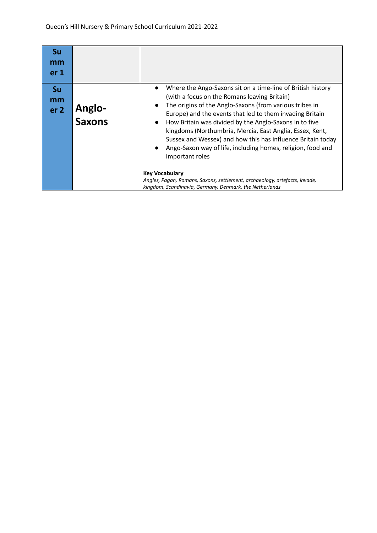| Su<br>mm<br>er <sub>1</sub>        |                         |                                                                                                                                                                                                                                                                                                                                                                                                                                                                                                                                                                                                                                                                                                                                 |
|------------------------------------|-------------------------|---------------------------------------------------------------------------------------------------------------------------------------------------------------------------------------------------------------------------------------------------------------------------------------------------------------------------------------------------------------------------------------------------------------------------------------------------------------------------------------------------------------------------------------------------------------------------------------------------------------------------------------------------------------------------------------------------------------------------------|
| <b>Su</b><br>mm<br>er <sub>2</sub> | <b>Anglo-</b><br>Saxons | Where the Ango-Saxons sit on a time-line of British history<br>$\bullet$<br>(with a focus on the Romans leaving Britain)<br>The origins of the Anglo-Saxons (from various tribes in<br>$\bullet$<br>Europe) and the events that led to them invading Britain<br>How Britain was divided by the Anglo-Saxons in to five<br>$\bullet$<br>kingdoms (Northumbria, Mercia, East Anglia, Essex, Kent,<br>Sussex and Wessex) and how this has influence Britain today<br>Ango-Saxon way of life, including homes, religion, food and<br>$\bullet$<br>important roles<br><b>Key Vocabulary</b><br>Angles, Pagan, Romans, Saxons, settlement, archaeology, artefacts, invade,<br>kingdom, Scandinavia, Germany, Denmark, the Netherlands |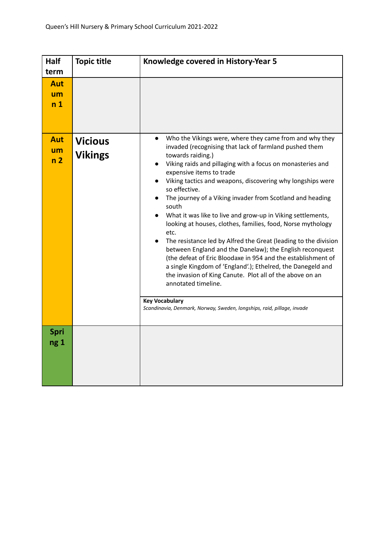| Half<br>term                       | <b>Topic title</b>               | Knowledge covered in History-Year 5                                                                                                                                                                                                                                                                                                                                                                                                                                                                                                                                                                                                                                                                                                                                                                                                                                                                                                                                                          |
|------------------------------------|----------------------------------|----------------------------------------------------------------------------------------------------------------------------------------------------------------------------------------------------------------------------------------------------------------------------------------------------------------------------------------------------------------------------------------------------------------------------------------------------------------------------------------------------------------------------------------------------------------------------------------------------------------------------------------------------------------------------------------------------------------------------------------------------------------------------------------------------------------------------------------------------------------------------------------------------------------------------------------------------------------------------------------------|
| <b>Aut</b><br>um<br>n <sub>1</sub> |                                  |                                                                                                                                                                                                                                                                                                                                                                                                                                                                                                                                                                                                                                                                                                                                                                                                                                                                                                                                                                                              |
| <b>Aut</b><br>um<br>n <sub>2</sub> | <b>Vicious</b><br><b>Vikings</b> | Who the Vikings were, where they came from and why they<br>$\bullet$<br>invaded (recognising that lack of farmland pushed them<br>towards raiding.)<br>Viking raids and pillaging with a focus on monasteries and<br>expensive items to trade<br>Viking tactics and weapons, discovering why longships were<br>so effective.<br>The journey of a Viking invader from Scotland and heading<br>south<br>What it was like to live and grow-up in Viking settlements,<br>looking at houses, clothes, families, food, Norse mythology<br>etc.<br>The resistance led by Alfred the Great (leading to the division<br>between England and the Danelaw); the English reconquest<br>(the defeat of Eric Bloodaxe in 954 and the establishment of<br>a single Kingdom of 'England'.); Ethelred, the Danegeld and<br>the invasion of King Canute. Plot all of the above on an<br>annotated timeline.<br><b>Key Vocabulary</b><br>Scandinavia, Denmark, Norway, Sweden, longships, raid, pillage, invade |
| Spri<br>ng <sub>1</sub>            |                                  |                                                                                                                                                                                                                                                                                                                                                                                                                                                                                                                                                                                                                                                                                                                                                                                                                                                                                                                                                                                              |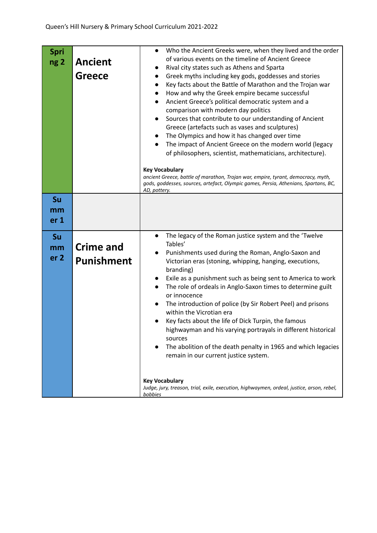| Spri<br>ng <sub>2</sub>     | <b>Ancient</b><br><b>Greece</b>       | Who the Ancient Greeks were, when they lived and the order<br>$\bullet$<br>of various events on the timeline of Ancient Greece<br>Rival city states such as Athens and Sparta<br>$\bullet$<br>Greek myths including key gods, goddesses and stories<br>$\bullet$<br>Key facts about the Battle of Marathon and the Trojan war<br>$\bullet$<br>How and why the Greek empire became successful<br>$\bullet$<br>Ancient Greece's political democratic system and a<br>$\bullet$<br>comparison with modern day politics<br>Sources that contribute to our understanding of Ancient<br>$\bullet$<br>Greece (artefacts such as vases and sculptures)<br>The Olympics and how it has changed over time<br>$\bullet$<br>The impact of Ancient Greece on the modern world (legacy<br>$\bullet$<br>of philosophers, scientist, mathematicians, architecture).<br><b>Key Vocabulary</b><br>ancient Greece, battle of marathon, Trojan war, empire, tyrant, democracy, myth,<br>gods, goddesses, sources, artefact, Olympic games, Persia, Athenians, Spartans, BC,<br>AD, pottery. |
|-----------------------------|---------------------------------------|-------------------------------------------------------------------------------------------------------------------------------------------------------------------------------------------------------------------------------------------------------------------------------------------------------------------------------------------------------------------------------------------------------------------------------------------------------------------------------------------------------------------------------------------------------------------------------------------------------------------------------------------------------------------------------------------------------------------------------------------------------------------------------------------------------------------------------------------------------------------------------------------------------------------------------------------------------------------------------------------------------------------------------------------------------------------------|
| Su<br>mm<br>er <sub>1</sub> |                                       |                                                                                                                                                                                                                                                                                                                                                                                                                                                                                                                                                                                                                                                                                                                                                                                                                                                                                                                                                                                                                                                                         |
| Su<br>mm<br>er <sub>2</sub> | <b>Crime and</b><br><b>Punishment</b> | The legacy of the Roman justice system and the 'Twelve<br>$\bullet$<br>Tables'<br>Punishments used during the Roman, Anglo-Saxon and<br>Victorian eras (stoning, whipping, hanging, executions,<br>branding)<br>Exile as a punishment such as being sent to America to work<br>$\bullet$<br>The role of ordeals in Anglo-Saxon times to determine guilt<br>$\bullet$<br>or innocence<br>The introduction of police (by Sir Robert Peel) and prisons<br>$\bullet$<br>within the Vicrotian era<br>Key facts about the life of Dick Turpin, the famous<br>highwayman and his varying portrayals in different historical<br>sources<br>The abolition of the death penalty in 1965 and which legacies<br>remain in our current justice system.<br><b>Key Vocabulary</b><br>Judge, jury, treason, trial, exile, execution, highwaymen, ordeal, justice, arson, rebel,<br>bobbies                                                                                                                                                                                              |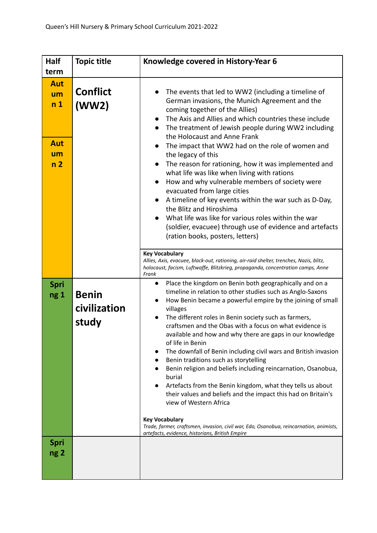| <b>Half</b>                                                               | <b>Topic title</b>                    | Knowledge covered in History-Year 6                                                                                                                                                                                                                                                                                                                                                                                                                                                                                                                                                                                                                                                                                                                                                                                                                                                                                                     |
|---------------------------------------------------------------------------|---------------------------------------|-----------------------------------------------------------------------------------------------------------------------------------------------------------------------------------------------------------------------------------------------------------------------------------------------------------------------------------------------------------------------------------------------------------------------------------------------------------------------------------------------------------------------------------------------------------------------------------------------------------------------------------------------------------------------------------------------------------------------------------------------------------------------------------------------------------------------------------------------------------------------------------------------------------------------------------------|
| term<br><b>Aut</b><br>um<br>n <sub>1</sub><br>Aut<br>um<br>n <sub>2</sub> | <b>Conflict</b><br>(WW2)              | The events that led to WW2 (including a timeline of<br>German invasions, the Munich Agreement and the<br>coming together of the Allies)<br>The Axis and Allies and which countries these include<br>The treatment of Jewish people during WW2 including<br>$\bullet$<br>the Holocaust and Anne Frank<br>The impact that WW2 had on the role of women and<br>$\bullet$<br>the legacy of this<br>The reason for rationing, how it was implemented and<br>$\bullet$<br>what life was like when living with rations<br>How and why vulnerable members of society were<br>$\bullet$<br>evacuated from large cities<br>A timeline of key events within the war such as D-Day,<br>$\bullet$<br>the Blitz and Hiroshima<br>What life was like for various roles within the war<br>(soldier, evacuee) through use of evidence and artefacts<br>(ration books, posters, letters)                                                                  |
|                                                                           |                                       | <b>Key Vocabulary</b><br>Allies, Axis, evacuee, black-out, rationing, air-raid shelter, trenches, Nazis, blitz,<br>holocaust, facism, Luftwaffe, Blitzkrieg, propaganda, concentration camps, Anne<br>Frank                                                                                                                                                                                                                                                                                                                                                                                                                                                                                                                                                                                                                                                                                                                             |
| <b>Spri</b><br>ng 1                                                       | <b>Benin</b><br>civilization<br>study | Place the kingdom on Benin both geographically and on a<br>$\bullet$<br>timeline in relation to other studies such as Anglo-Saxons<br>How Benin became a powerful empire by the joining of small<br>villages<br>The different roles in Benin society such as farmers,<br>craftsmen and the Obas with a focus on what evidence is<br>available and how and why there are gaps in our knowledge<br>of life in Benin<br>The downfall of Benin including civil wars and British invasion<br>Benin traditions such as storytelling<br>Benin religion and beliefs including reincarnation, Osanobua,<br>burial<br>Artefacts from the Benin kingdom, what they tells us about<br>their values and beliefs and the impact this had on Britain's<br>view of Western Africa<br><b>Key Vocabulary</b><br>Trade, farmer, craftsmen, invasion, civil war, Edo, Osanobua, reincarnation, animists,<br>artefacts, evidence, historians, British Empire |
| <b>Spri</b><br>ng <sub>2</sub>                                            |                                       |                                                                                                                                                                                                                                                                                                                                                                                                                                                                                                                                                                                                                                                                                                                                                                                                                                                                                                                                         |